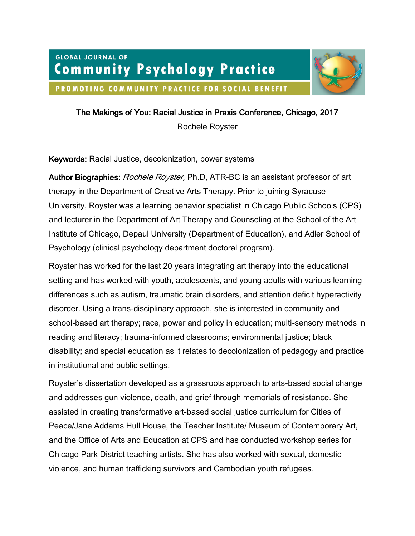# **GLOBAL JOURNAL OF Community Psychology Practice** PROMOTING COMMUNITY PRACTICE FOR SOCIAL BENEFIT



The Makings of You: Racial Justice in Praxis Conference, Chicago, 2017

Rochele Royster

Keywords: Racial Justice, decolonization, power systems

Author Biographies: Rochele Royster, Ph.D. ATR-BC is an assistant professor of art therapy in the Department of Creative Arts Therapy. Prior to joining Syracuse University, Royster was a learning behavior specialist in Chicago Public Schools (CPS) and lecturer in the Department of Art Therapy and Counseling at the School of the Art Institute of Chicago, Depaul University (Department of Education), and Adler School of Psychology (clinical psychology department doctoral program).

Royster has worked for the last 20 years integrating art therapy into the educational setting and has worked with youth, adolescents, and young adults with various learning differences such as autism, traumatic brain disorders, and attention deficit hyperactivity disorder. Using a trans-disciplinary approach, she is interested in community and school-based art therapy; race, power and policy in education; multi-sensory methods in reading and literacy; trauma-informed classrooms; environmental justice; black disability; and special education as it relates to decolonization of pedagogy and practice in institutional and public settings.

Royster's dissertation developed as a grassroots approach to arts-based social change and addresses gun violence, death, and grief through memorials of resistance. She assisted in creating transformative art-based social justice curriculum for Cities of Peace/Jane Addams Hull House, the Teacher Institute/ Museum of Contemporary Art, and the Office of Arts and Education at CPS and has conducted workshop series for Chicago Park District teaching artists. She has also worked with sexual, domestic violence, and human trafficking survivors and Cambodian youth refugees.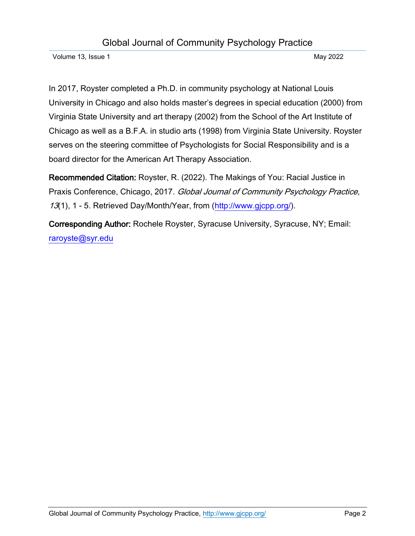In 2017, Royster completed a Ph.D. in community psychology at National Louis University in Chicago and also holds master's degrees in special education (2000) from Virginia State University and art therapy (2002) from the School of the Art Institute of Chicago as well as a B.F.A. in studio arts (1998) from Virginia State University. Royster serves on the steering committee of Psychologists for Social Responsibility and is a board director for the American Art Therapy Association.

Recommended Citation: Royster, R. (2022). The Makings of You: Racial Justice in Praxis Conference, Chicago, 2017. Global Journal of Community Psychology Practice, 13(1), 1 - 5. Retrieved Day/Month/Year, from [\(http://www.gjcpp.org/\)](http://www.gjcpp.org/).

Corresponding Author: Rochele Royster, Syracuse University, Syracuse, NY; Email: [raroyste@syr.edu](mailto:raroyste@syr.edu)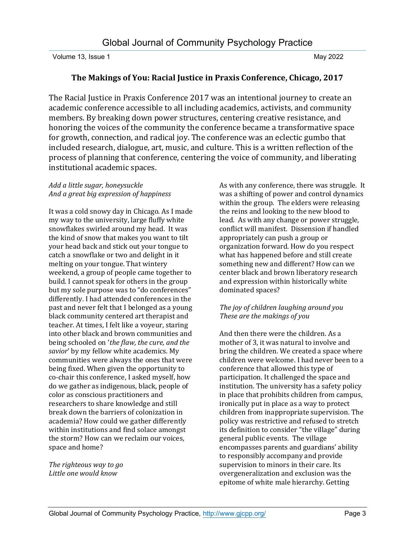## **The Makings of You: Racial Justice in Praxis Conference, Chicago, 2017**

The Racial Justice in Praxis Conference 2017 was an intentional journey to create an academic conference accessible to all including academics, activists, and community members. By breaking down power structures, centering creative resistance, and honoring the voices of the community the conference became a transformative space for growth, connection, and radical joy. The conference was an eclectic gumbo that included research, dialogue, art, music, and culture. This is a written reflection of the process of planning that conference, centering the voice of community, and liberating institutional academic spaces.

#### *Add a little sugar, honeysuckle And a great big expression of happiness*

It was a cold snowy day in Chicago. As I made my way to the university, large fluffy white snowflakes swirled around my head. It was the kind of snow that makes you want to tilt your head back and stick out your tongue to catch a snowflake or two and delight in it melting on your tongue. That wintery weekend, a group of people came together to build. I cannot speak for others in the group but my sole purpose was to "do conferences" differently. I had attended conferences in the past and never felt that I belonged as a young black community centered art therapist and teacher. At times, I felt like a voyeur, staring into other black and brown communities and being schooled on '*the flaw, the cure, and the savior*' by my fellow white academics. My communities were always the ones that were being fixed. When given the opportunity to co-chair this conference, I asked myself, how do we gather as indigenous, black, people of color as conscious practitioners and researchers to share knowledge and still break down the barriers of colonization in academia? How could we gather differently within institutions and find solace amongst the storm? How can we reclaim our voices, space and home?

*The righteous way to go Little one would know*

As with any conference, there was struggle. It was a shifting of power and control dynamics within the group. The elders were releasing the reins and looking to the new blood to lead. As with any change or power struggle, conflict will manifest. Dissension if handled appropriately can push a group or organization forward. How do you respect what has happened before and still create something new and different? How can we center black and brown liberatory research and expression within historically white dominated spaces?

### *The joy of children laughing around you These are the makings of you*

And then there were the children. As a mother of 3, it was natural to involve and bring the children. We created a space where children were welcome. I had never been to a conference that allowed this type of participation. It challenged the space and institution. The university has a safety policy in place that prohibits children from campus, ironically put in place as a way to protect children from inappropriate supervision. The policy was restrictive and refused to stretch its definition to consider "the village" during general public events. The village encompasses parents and guardians' ability to responsibly accompany and provide supervision to minors in their care. Its overgeneralization and exclusion was the epitome of white male hierarchy. Getting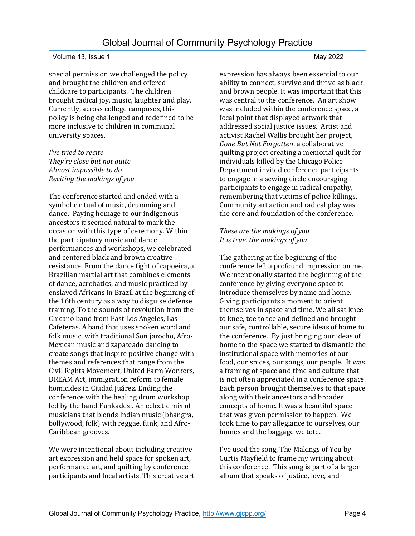special permission we challenged the policy and brought the children and offered childcare to participants. The children brought radical joy, music, laughter and play. Currently, across college campuses, this policy is being challenged and redefined to be more inclusive to children in communal university spaces.

*I've tried to recite They're close but not quite Almost impossible to do Reciting the makings of you*

The conference started and ended with a symbolic ritual of music, drumming and dance. Paying homage to our indigenous ancestors it seemed natural to mark the occasion with this type of ceremony. Within the participatory music and dance performances and workshops, we celebrated and centered black and brown creative resistance. From the dance fight of capoeira, a Brazilian martial art that combines elements of dance, acrobatics, and music practiced by enslaved Africans in Brazil at the beginning of the 16th century as a way to disguise defense training. To the sounds of revolution from the Chicano band from East Los Angeles, Las Cafeteras. A band that uses spoken word and folk music, with traditional Son jarocho, Afro-Mexican music and zapateado dancing to create songs that inspire positive change with themes and references that range from the Civil Rights Movement, United Farm Workers, DREAM Act, immigration reform to female homicides in Ciudad Juárez. Ending the conference with the healing drum workshop led by the band Funkadesi. An eclectic mix of musicians that blends Indian music (bhangra, bollywood, folk) with reggae, funk, and Afro-Caribbean grooves.

We were intentional about including creative art expression and held space for spoken art, performance art, and quilting by conference participants and local artists. This creative art expression has always been essential to our ability to connect, survive and thrive as black and brown people. It was important that this was central to the conference. An art show was included within the conference space, a focal point that displayed artwork that addressed social justice issues. Artist and activist Rachel Wallis brought her project, *Gone But Not Forgotten*, a collaborative quilting project creating a memorial quilt for individuals killed by the Chicago Police Department invited conference participants to engage in a sewing circle encouraging participants to engage in radical empathy, remembering that victims of police killings. Community art action and radical play was the core and foundation of the conference.

#### *These are the makings of you It is true, the makings of you*

The gathering at the beginning of the conference left a profound impression on me. We intentionally started the beginning of the conference by giving everyone space to introduce themselves by name and home. Giving participants a moment to orient themselves in space and time. We all sat knee to knee, toe to toe and defined and brought our safe, controllable, secure ideas of home to the conference. By just bringing our ideas of home to the space we started to dismantle the institutional space with memories of our food, our spices, our songs, our people. It was a framing of space and time and culture that is not often appreciated in a conference space. Each person brought themselves to that space along with their ancestors and broader concepts of home. It was a beautiful space that was given permission to happen. We took time to pay allegiance to ourselves, our homes and the baggage we tote.

I've used the song, The Makings of You by Curtis Mayfield to frame my writing about this conference. This song is part of a larger album that speaks of justice, love, and